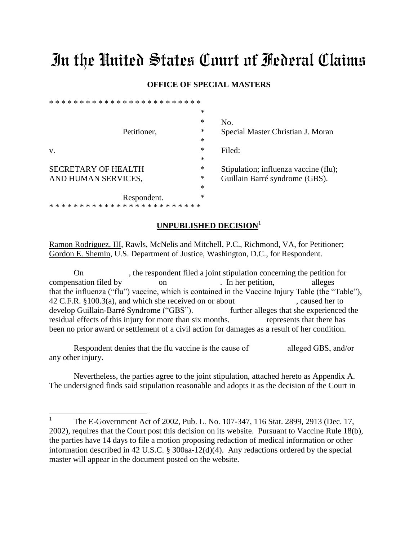# In the United States Court of Federal Claims

### **OFFICE OF SPECIAL MASTERS**

|                            | ∗      |                                       |
|----------------------------|--------|---------------------------------------|
| Petitioner,                | $\ast$ | No.                                   |
|                            | $\ast$ | Special Master Christian J. Moran     |
|                            | $\ast$ |                                       |
| V.                         | ∗      | Filed:                                |
|                            | $\ast$ |                                       |
| <b>SECRETARY OF HEALTH</b> | $\ast$ | Stipulation; influenza vaccine (flu); |
| AND HUMAN SERVICES,        | $\ast$ | Guillain Barré syndrome (GBS).        |
|                            | $\ast$ |                                       |
| Respondent.                | $\ast$ |                                       |
|                            |        |                                       |

### **UNPUBLISHED DECISION**<sup>1</sup>

Ramon Rodriguez, III, Rawls, McNelis and Mitchell, P.C., Richmond, VA, for Petitioner; Gordon E. Shemin, U.S. Department of Justice, Washington, D.C., for Respondent.

On , the respondent filed a joint stipulation concerning the petition for compensation filed by on . In her petition, alleges that the influenza ("flu") vaccine, which is contained in the Vaccine Injury Table (the "Table"), 42 C.F.R. §100.3(a), and which she received on or about , caused her to develop Guillain-Barré Syndrome ("GBS"). further alleges that she experienced the residual effects of this injury for more than six months. represents that there has been no prior award or settlement of a civil action for damages as a result of her condition.

Respondent denies that the flu vaccine is the cause of alleged GBS, and/or any other injury.

Nevertheless, the parties agree to the joint stipulation, attached hereto as Appendix A. The undersigned finds said stipulation reasonable and adopts it as the decision of the Court in

<sup>|&</sup>lt;br>| The E-Government Act of 2002, Pub. L. No. 107-347, 116 Stat. 2899, 2913 (Dec. 17, 2002), requires that the Court post this decision on its website. Pursuant to Vaccine Rule 18(b), the parties have 14 days to file a motion proposing redaction of medical information or other information described in 42 U.S.C. § 300aa-12(d)(4). Any redactions ordered by the special master will appear in the document posted on the website.